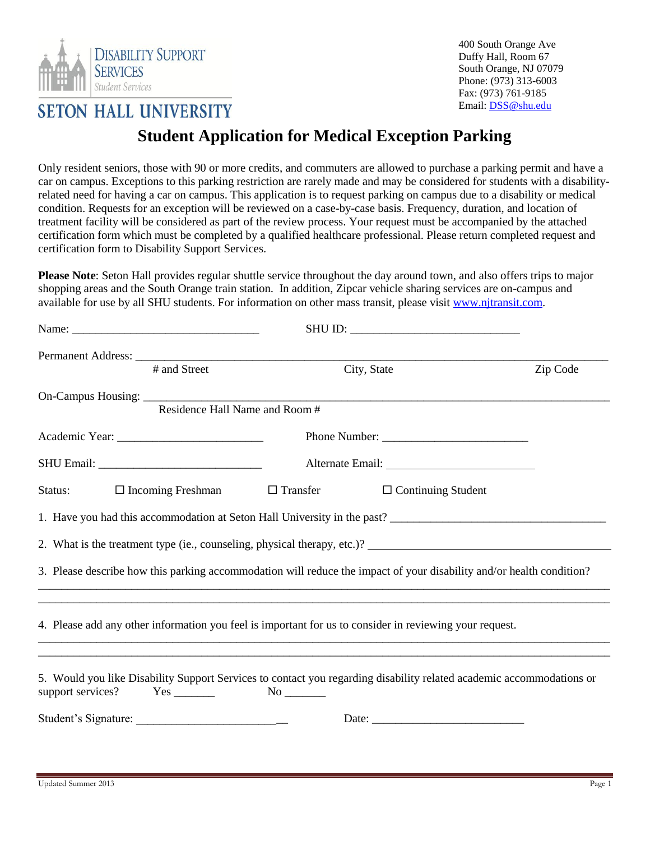

400 South Orange Ave Duffy Hall, Room 67 South Orange, NJ 07079 Phone: (973) 313-6003 Fax: (973) 761-9185 Email: DSS@shu.edu

## **SETON HALL UNIVERSITY**

## **Student Application for Medical Exception Parking**

Only resident seniors, those with 90 or more credits, and commuters are allowed to purchase a parking permit and have a car on campus. Exceptions to this parking restriction are rarely made and may be considered for students with a disabilityrelated need for having a car on campus. This application is to request parking on campus due to a disability or medical condition. Requests for an exception will be reviewed on a case-by-case basis. Frequency, duration, and location of treatment facility will be considered as part of the review process. Your request must be accompanied by the attached certification form which must be completed by a qualified healthcare professional. Please return completed request and certification form to Disability Support Services.

**Please Note**: Seton Hall provides regular shuttle service throughout the day around town, and also offers trips to major shopping areas and the South Orange train station. In addition, Zipcar vehicle sharing services are on-campus and available for use by all SHU students. For information on other mass transit, please visi[t www.njtransit.com.](http://www.njtransit.com/)

| # and Street                        | City, State                                                                                                          | Zip Code |
|-------------------------------------|----------------------------------------------------------------------------------------------------------------------|----------|
|                                     |                                                                                                                      |          |
|                                     | Residence Hall Name and Room #                                                                                       |          |
|                                     |                                                                                                                      |          |
|                                     |                                                                                                                      |          |
| Status:<br>$\Box$ Incoming Freshman | $\Box$ Transfer<br>$\Box$ Continuing Student                                                                         |          |
|                                     |                                                                                                                      |          |
|                                     |                                                                                                                      |          |
|                                     |                                                                                                                      |          |
|                                     | 3. Please describe how this parking accommodation will reduce the impact of your disability and/or health condition? |          |
|                                     | 4. Please add any other information you feel is important for us to consider in reviewing your request.              |          |
| support services?                   | 5. Would you like Disability Support Services to contact you regarding disability related academic accommodations or |          |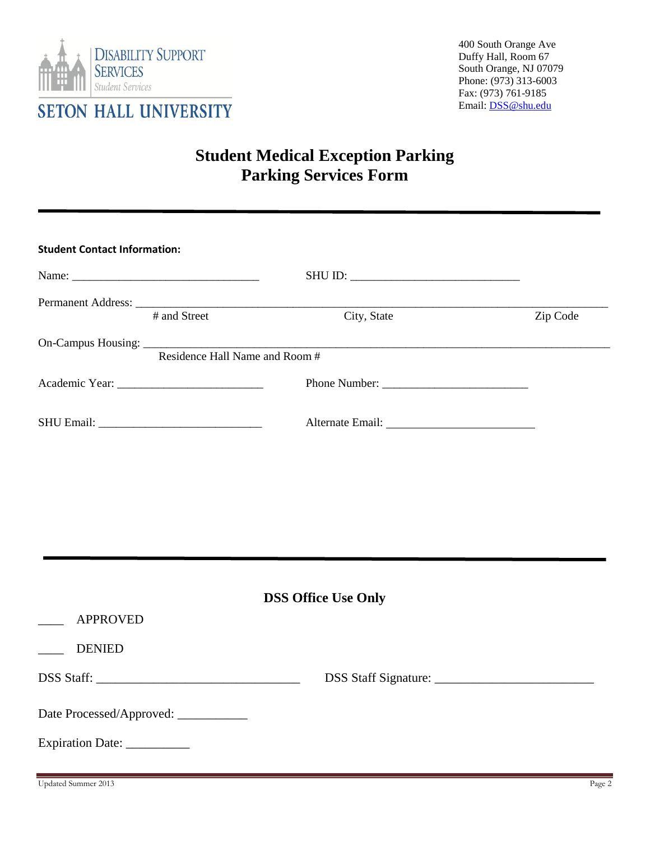

## **Student Medical Exception Parking Parking Services Form**

| <b>Student Contact Information:</b>   |                                                   |          |
|---------------------------------------|---------------------------------------------------|----------|
|                                       |                                                   |          |
|                                       |                                                   |          |
| # and Street                          | City, State                                       | Zip Code |
|                                       | On-Campus Housing: Residence Hall Name and Room # |          |
|                                       |                                                   |          |
|                                       |                                                   |          |
|                                       |                                                   |          |
|                                       |                                                   |          |
|                                       | <b>DSS Office Use Only</b>                        |          |
| <b>APPROVED</b>                       |                                                   |          |
| <b>DENIED</b>                         |                                                   |          |
|                                       |                                                   |          |
| Date Processed/Approved: ____________ |                                                   |          |